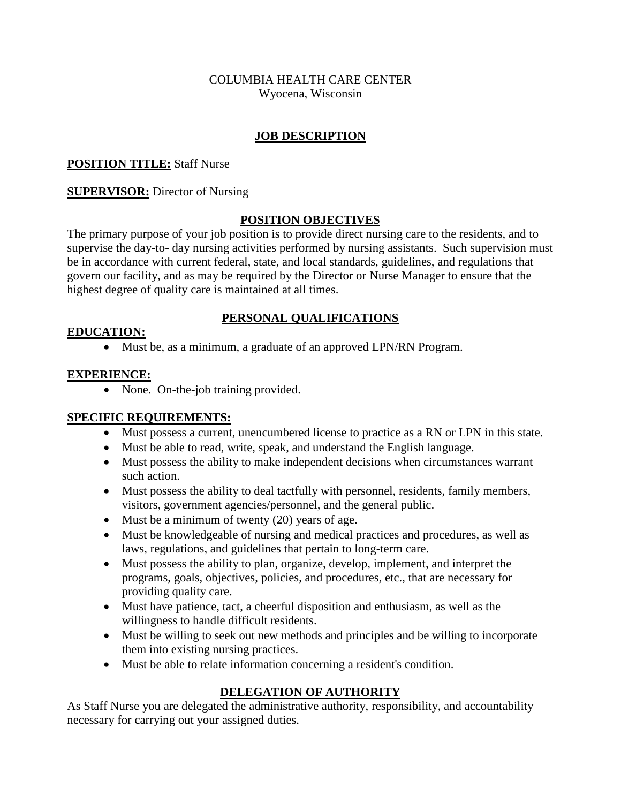#### COLUMBIA HEALTH CARE CENTER Wyocena, Wisconsin

## **JOB DESCRIPTION**

## **POSITION TITLE:** Staff Nurse

## **SUPERVISOR:** Director of Nursing

## **POSITION OBJECTIVES**

The primary purpose of your job position is to provide direct nursing care to the residents, and to supervise the day-to- day nursing activities performed by nursing assistants. Such supervision must be in accordance with current federal, state, and local standards, guidelines, and regulations that govern our facility, and as may be required by the Director or Nurse Manager to ensure that the highest degree of quality care is maintained at all times.

## **PERSONAL QUALIFICATIONS**

## **EDUCATION:**

Must be, as a minimum, a graduate of an approved LPN/RN Program.

## **EXPERIENCE:**

• None. On-the-job training provided.

## **SPECIFIC REQUIREMENTS:**

- Must possess a current, unencumbered license to practice as a RN or LPN in this state.
- Must be able to read, write, speak, and understand the English language.
- Must possess the ability to make independent decisions when circumstances warrant such action.
- Must possess the ability to deal tactfully with personnel, residents, family members, visitors, government agencies/personnel, and the general public.
- $\bullet$  Must be a minimum of twenty (20) years of age.
- Must be knowledgeable of nursing and medical practices and procedures, as well as laws, regulations, and guidelines that pertain to long-term care.
- Must possess the ability to plan, organize, develop, implement, and interpret the programs, goals, objectives, policies, and procedures, etc., that are necessary for providing quality care.
- Must have patience, tact, a cheerful disposition and enthusiasm, as well as the willingness to handle difficult residents.
- Must be willing to seek out new methods and principles and be willing to incorporate them into existing nursing practices.
- Must be able to relate information concerning a resident's condition.

## **DELEGATION OF AUTHORITY**

As Staff Nurse you are delegated the administrative authority, responsibility, and accountability necessary for carrying out your assigned duties.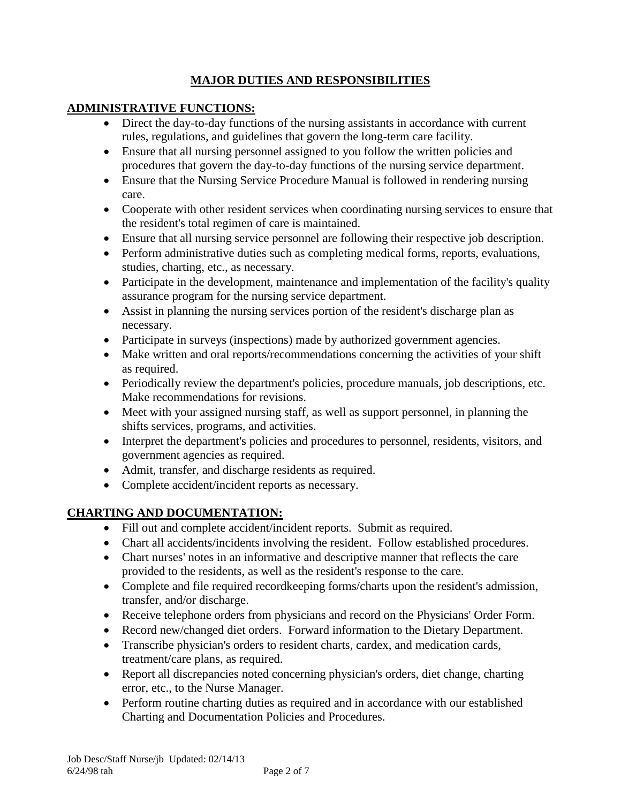## **MAJOR DUTIES AND RESPONSIBILITIES**

# **ADMINISTRATIVE FUNCTIONS:**

- Direct the day-to-day functions of the nursing assistants in accordance with current rules, regulations, and guidelines that govern the long-term care facility.
- Ensure that all nursing personnel assigned to you follow the written policies and procedures that govern the day-to-day functions of the nursing service department.
- Ensure that the Nursing Service Procedure Manual is followed in rendering nursing care.
- Cooperate with other resident services when coordinating nursing services to ensure that the resident's total regimen of care is maintained.
- Ensure that all nursing service personnel are following their respective job description.
- Perform administrative duties such as completing medical forms, reports, evaluations, studies, charting, etc., as necessary.
- Participate in the development, maintenance and implementation of the facility's quality assurance program for the nursing service department.
- Assist in planning the nursing services portion of the resident's discharge plan as necessary.
- Participate in surveys (inspections) made by authorized government agencies.
- Make written and oral reports/recommendations concerning the activities of your shift as required.
- Periodically review the department's policies, procedure manuals, job descriptions, etc. Make recommendations for revisions.
- Meet with your assigned nursing staff, as well as support personnel, in planning the shifts services, programs, and activities.
- Interpret the department's policies and procedures to personnel, residents, visitors, and government agencies as required.
- Admit, transfer, and discharge residents as required.
- Complete accident/incident reports as necessary.

# **CHARTING AND DOCUMENTATION:**

- Fill out and complete accident/incident reports. Submit as required.
- Chart all accidents/incidents involving the resident. Follow established procedures.
- Chart nurses' notes in an informative and descriptive manner that reflects the care provided to the residents, as well as the resident's response to the care.
- Complete and file required recordkeeping forms/charts upon the resident's admission, transfer, and/or discharge.
- Receive telephone orders from physicians and record on the Physicians' Order Form.
- Record new/changed diet orders. Forward information to the Dietary Department.
- Transcribe physician's orders to resident charts, cardex, and medication cards, treatment/care plans, as required.
- Report all discrepancies noted concerning physician's orders, diet change, charting error, etc., to the Nurse Manager.
- Perform routine charting duties as required and in accordance with our established Charting and Documentation Policies and Procedures.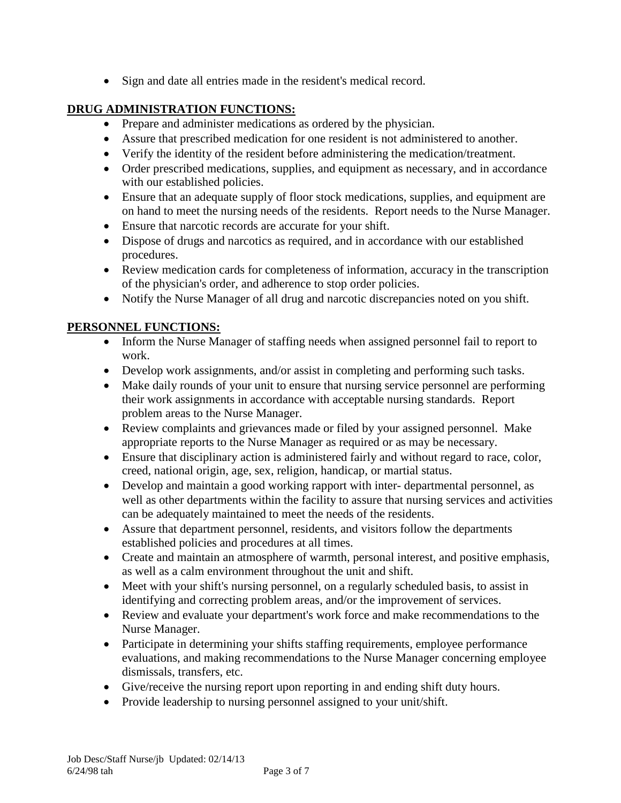Sign and date all entries made in the resident's medical record.

## **DRUG ADMINISTRATION FUNCTIONS:**

- Prepare and administer medications as ordered by the physician.
- Assure that prescribed medication for one resident is not administered to another.
- Verify the identity of the resident before administering the medication/treatment.
- Order prescribed medications, supplies, and equipment as necessary, and in accordance with our established policies.
- Ensure that an adequate supply of floor stock medications, supplies, and equipment are on hand to meet the nursing needs of the residents. Report needs to the Nurse Manager.
- Ensure that narcotic records are accurate for your shift.
- Dispose of drugs and narcotics as required, and in accordance with our established procedures.
- Review medication cards for completeness of information, accuracy in the transcription of the physician's order, and adherence to stop order policies.
- Notify the Nurse Manager of all drug and narcotic discrepancies noted on you shift.

## **PERSONNEL FUNCTIONS:**

- Inform the Nurse Manager of staffing needs when assigned personnel fail to report to work.
- Develop work assignments, and/or assist in completing and performing such tasks.
- Make daily rounds of your unit to ensure that nursing service personnel are performing their work assignments in accordance with acceptable nursing standards. Report problem areas to the Nurse Manager.
- Review complaints and grievances made or filed by your assigned personnel. Make appropriate reports to the Nurse Manager as required or as may be necessary.
- Ensure that disciplinary action is administered fairly and without regard to race, color, creed, national origin, age, sex, religion, handicap, or martial status.
- Develop and maintain a good working rapport with inter- departmental personnel, as well as other departments within the facility to assure that nursing services and activities can be adequately maintained to meet the needs of the residents.
- Assure that department personnel, residents, and visitors follow the departments established policies and procedures at all times.
- Create and maintain an atmosphere of warmth, personal interest, and positive emphasis, as well as a calm environment throughout the unit and shift.
- Meet with your shift's nursing personnel, on a regularly scheduled basis, to assist in identifying and correcting problem areas, and/or the improvement of services.
- Review and evaluate your department's work force and make recommendations to the Nurse Manager.
- Participate in determining your shifts staffing requirements, employee performance evaluations, and making recommendations to the Nurse Manager concerning employee dismissals, transfers, etc.
- Give/receive the nursing report upon reporting in and ending shift duty hours.
- Provide leadership to nursing personnel assigned to your unit/shift.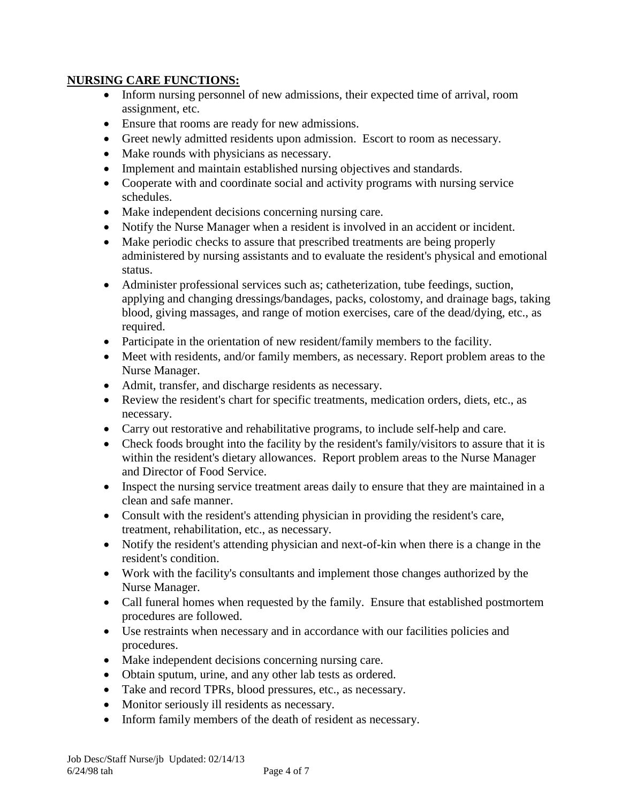## **NURSING CARE FUNCTIONS:**

- Inform nursing personnel of new admissions, their expected time of arrival, room assignment, etc.
- Ensure that rooms are ready for new admissions.
- Greet newly admitted residents upon admission. Escort to room as necessary.
- Make rounds with physicians as necessary.
- Implement and maintain established nursing objectives and standards.
- Cooperate with and coordinate social and activity programs with nursing service schedules.
- Make independent decisions concerning nursing care.
- Notify the Nurse Manager when a resident is involved in an accident or incident.
- Make periodic checks to assure that prescribed treatments are being properly administered by nursing assistants and to evaluate the resident's physical and emotional status.
- Administer professional services such as; catheterization, tube feedings, suction, applying and changing dressings/bandages, packs, colostomy, and drainage bags, taking blood, giving massages, and range of motion exercises, care of the dead/dying, etc., as required.
- Participate in the orientation of new resident/family members to the facility.
- Meet with residents, and/or family members, as necessary. Report problem areas to the Nurse Manager.
- Admit, transfer, and discharge residents as necessary.
- Review the resident's chart for specific treatments, medication orders, diets, etc., as necessary.
- Carry out restorative and rehabilitative programs, to include self-help and care.
- Check foods brought into the facility by the resident's family/visitors to assure that it is within the resident's dietary allowances. Report problem areas to the Nurse Manager and Director of Food Service.
- Inspect the nursing service treatment areas daily to ensure that they are maintained in a clean and safe manner.
- Consult with the resident's attending physician in providing the resident's care, treatment, rehabilitation, etc., as necessary.
- Notify the resident's attending physician and next-of-kin when there is a change in the resident's condition.
- Work with the facility's consultants and implement those changes authorized by the Nurse Manager.
- Call funeral homes when requested by the family. Ensure that established postmortem procedures are followed.
- Use restraints when necessary and in accordance with our facilities policies and procedures.
- Make independent decisions concerning nursing care.
- Obtain sputum, urine, and any other lab tests as ordered.
- Take and record TPRs, blood pressures, etc., as necessary.
- Monitor seriously ill residents as necessary.
- Inform family members of the death of resident as necessary.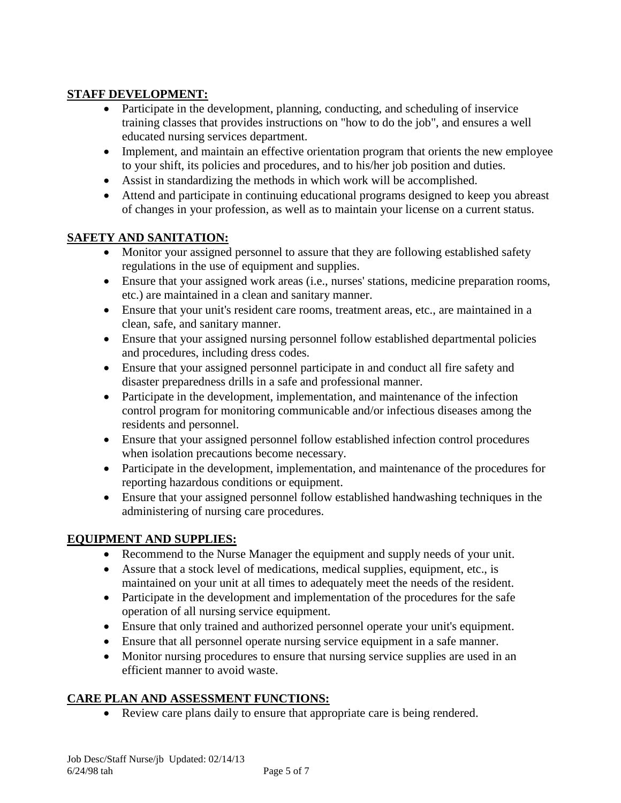# **STAFF DEVELOPMENT:**

- Participate in the development, planning, conducting, and scheduling of inservice training classes that provides instructions on "how to do the job", and ensures a well educated nursing services department.
- Implement, and maintain an effective orientation program that orients the new employee to your shift, its policies and procedures, and to his/her job position and duties.
- Assist in standardizing the methods in which work will be accomplished.
- Attend and participate in continuing educational programs designed to keep you abreast of changes in your profession, as well as to maintain your license on a current status.

## **SAFETY AND SANITATION:**

- Monitor your assigned personnel to assure that they are following established safety regulations in the use of equipment and supplies.
- Ensure that your assigned work areas (i.e., nurses' stations, medicine preparation rooms, etc.) are maintained in a clean and sanitary manner.
- Ensure that your unit's resident care rooms, treatment areas, etc., are maintained in a clean, safe, and sanitary manner.
- Ensure that your assigned nursing personnel follow established departmental policies and procedures, including dress codes.
- Ensure that your assigned personnel participate in and conduct all fire safety and disaster preparedness drills in a safe and professional manner.
- Participate in the development, implementation, and maintenance of the infection control program for monitoring communicable and/or infectious diseases among the residents and personnel.
- Ensure that your assigned personnel follow established infection control procedures when isolation precautions become necessary.
- Participate in the development, implementation, and maintenance of the procedures for reporting hazardous conditions or equipment.
- Ensure that your assigned personnel follow established handwashing techniques in the administering of nursing care procedures.

# **EQUIPMENT AND SUPPLIES:**

- Recommend to the Nurse Manager the equipment and supply needs of your unit.
- Assure that a stock level of medications, medical supplies, equipment, etc., is maintained on your unit at all times to adequately meet the needs of the resident.
- Participate in the development and implementation of the procedures for the safe operation of all nursing service equipment.
- Ensure that only trained and authorized personnel operate your unit's equipment.
- Ensure that all personnel operate nursing service equipment in a safe manner.
- Monitor nursing procedures to ensure that nursing service supplies are used in an efficient manner to avoid waste.

## **CARE PLAN AND ASSESSMENT FUNCTIONS:**

Review care plans daily to ensure that appropriate care is being rendered.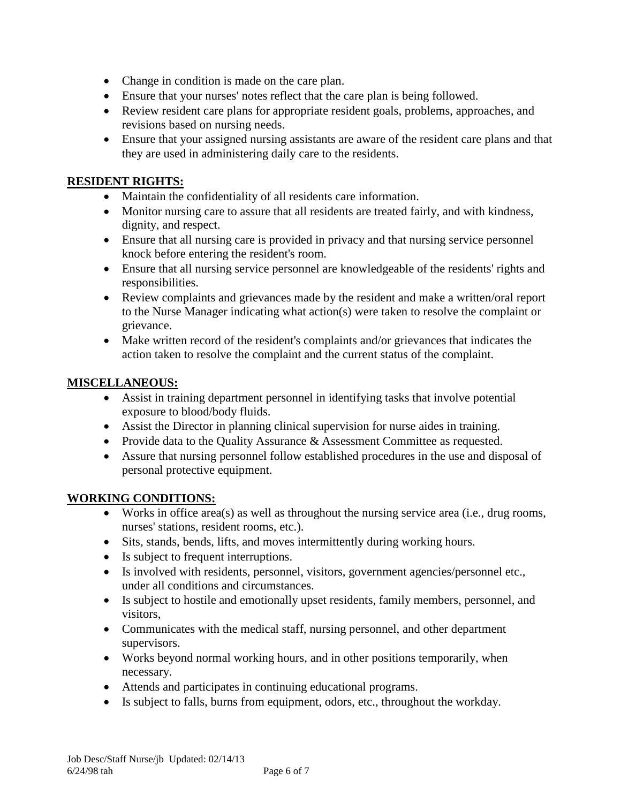- Change in condition is made on the care plan.
- Ensure that your nurses' notes reflect that the care plan is being followed.
- Review resident care plans for appropriate resident goals, problems, approaches, and revisions based on nursing needs.
- Ensure that your assigned nursing assistants are aware of the resident care plans and that they are used in administering daily care to the residents.

## **RESIDENT RIGHTS:**

- Maintain the confidentiality of all residents care information.
- Monitor nursing care to assure that all residents are treated fairly, and with kindness, dignity, and respect.
- Ensure that all nursing care is provided in privacy and that nursing service personnel knock before entering the resident's room.
- Ensure that all nursing service personnel are knowledgeable of the residents' rights and responsibilities.
- Review complaints and grievances made by the resident and make a written/oral report to the Nurse Manager indicating what action(s) were taken to resolve the complaint or grievance.
- Make written record of the resident's complaints and/or grievances that indicates the action taken to resolve the complaint and the current status of the complaint.

## **MISCELLANEOUS:**

- Assist in training department personnel in identifying tasks that involve potential exposure to blood/body fluids.
- Assist the Director in planning clinical supervision for nurse aides in training.
- Provide data to the Quality Assurance & Assessment Committee as requested.
- Assure that nursing personnel follow established procedures in the use and disposal of personal protective equipment.

## **WORKING CONDITIONS:**

- Works in office area(s) as well as throughout the nursing service area (i.e., drug rooms, nurses' stations, resident rooms, etc.).
- Sits, stands, bends, lifts, and moves intermittently during working hours.
- Is subject to frequent interruptions.
- Is involved with residents, personnel, visitors, government agencies/personnel etc., under all conditions and circumstances.
- Is subject to hostile and emotionally upset residents, family members, personnel, and visitors,
- Communicates with the medical staff, nursing personnel, and other department supervisors.
- Works beyond normal working hours, and in other positions temporarily, when necessary.
- Attends and participates in continuing educational programs.
- Is subject to falls, burns from equipment, odors, etc., throughout the workday.